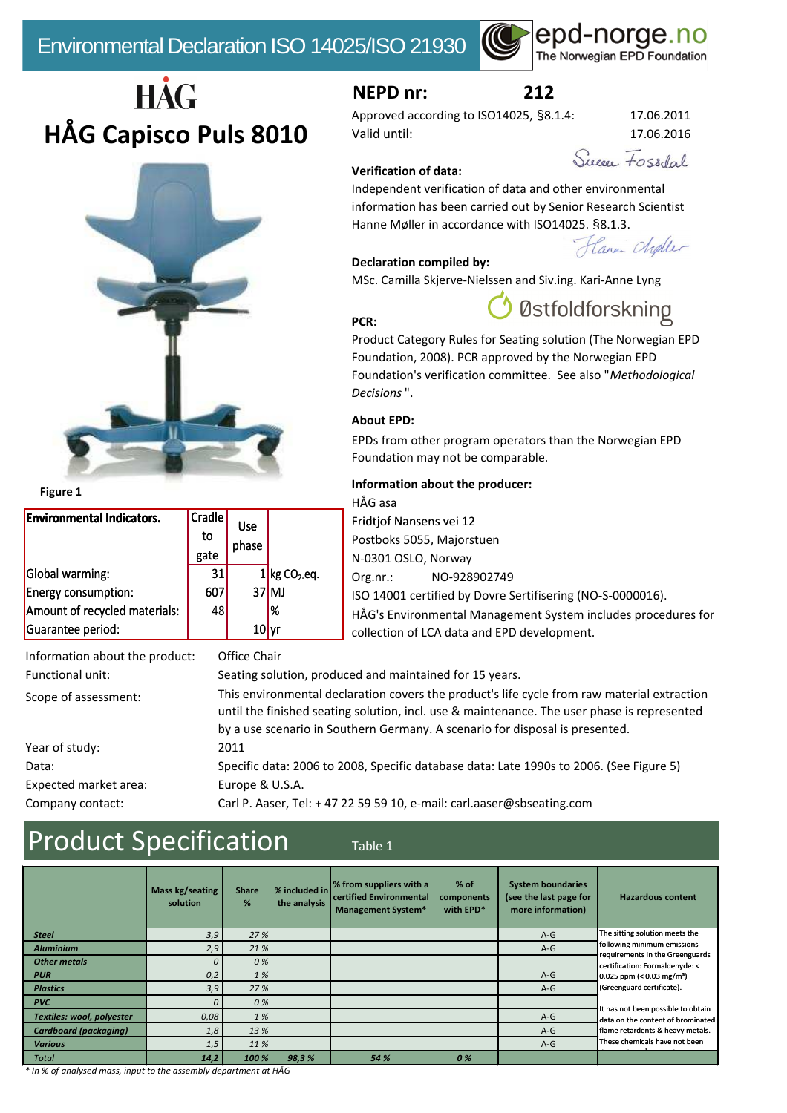

# HÅG **HÅG Capisco Puls 8010**



**Figure 1**

| <b>Environmental Indicators.</b> | Cradle | <b>Use</b> |                            |
|----------------------------------|--------|------------|----------------------------|
|                                  | to     |            |                            |
|                                  | gate   | phase      |                            |
| Global warming:                  | 31     |            | $1$ kg CO <sub>2</sub> eq. |
| <b>Energy consumption:</b>       | 607    |            | $37$ MJ                    |
| Amount of recycled materials:    | 48     |            | 1%                         |
| Guarantee period:                |        | 10         |                            |

## **NEPD nr: 212**

Approved according to ISO14025, §8.1.4: 17.06.2011 Valid until: 17.06.2016

Suppo, Fossdal

### **Verification of data:**

Independent verification of data and other environmental information has been carried out by Senior Research Scientist Hanne Møller in accordance with ISO14025, §8.1.3.

Hann Choler

### **Declaration compiled by:**

MSc. Camilla Skjerve-Nielssen and Siv.ing. Kari-Anne Lyng

# Østfoldforskning

Product Category Rules for Seating solution (The Norwegian EPD Foundation, 2008). PCR approved by the Norwegian EPD Foundation's verification committee. See also "*Methodological Decisions* ".

### **About EPD:**

**PCR:**

EPDs from other program operators than the Norwegian EPD Foundation may not be comparable.

### **Information about the producer:**

HÅG asa Fridtjof Nansens vei 12 Postboks 5055, Majorstuen N-0301 OSLO, Norway Org.nr.: NO-928902749 ISO 14001 certified by Dovre Sertifisering (NO-S-0000016). HÅG's Environmental Management System includes procedures for collection of LCA data and EPD development.

| Information about the product: | Office Chair                                                                                                                                                                                                                                                               |
|--------------------------------|----------------------------------------------------------------------------------------------------------------------------------------------------------------------------------------------------------------------------------------------------------------------------|
| Functional unit:               | Seating solution, produced and maintained for 15 years.                                                                                                                                                                                                                    |
| Scope of assessment:           | This environmental declaration covers the product's life cycle from raw material extraction<br>until the finished seating solution, incl. use & maintenance. The user phase is represented<br>by a use scenario in Southern Germany. A scenario for disposal is presented. |
| Year of study:                 | 2011                                                                                                                                                                                                                                                                       |
| Data:                          | Specific data: 2006 to 2008, Specific database data: Late 1990s to 2006. (See Figure 5)                                                                                                                                                                                    |
| Expected market area:          | Europe & U.S.A.                                                                                                                                                                                                                                                            |
| Company contact:               | Carl P. Aaser, Tel: +47 22 59 59 10, e-mail: carl.aaser@sbseating.com                                                                                                                                                                                                      |

# Product Specification Table 1

|                              | Mass kg/seating<br>solution | <b>Share</b><br>% | % included in<br>the analysis | % from suppliers with a<br><b>I</b> certified Environmental<br><b>Management System*</b> | $%$ of<br>components<br>with EPD* | <b>System boundaries</b><br>(see the last page for<br>more information) | <b>Hazardous content</b>                                                |
|------------------------------|-----------------------------|-------------------|-------------------------------|------------------------------------------------------------------------------------------|-----------------------------------|-------------------------------------------------------------------------|-------------------------------------------------------------------------|
| <b>Steel</b>                 | 3,9                         | 27%               |                               |                                                                                          |                                   | $A-G$                                                                   | The sitting solution meets the                                          |
| <b>Aluminium</b>             | 2,9                         | 21 %              |                               |                                                                                          |                                   | $A-G$                                                                   | following minimum emissions<br>requirements in the Greenguards          |
| <b>Other metals</b>          | $\sqrt{ }$                  | 0%                |                               |                                                                                          |                                   |                                                                         | certification: Formaldehyde: <                                          |
| <b>PUR</b>                   | 0,2                         | 1%                |                               |                                                                                          |                                   | $A-G$                                                                   | $0.025$ ppm (< 0.03 mg/m <sup>3</sup> )                                 |
| <b>Plastics</b>              | 3,9                         | 27%               |                               |                                                                                          |                                   | $A-G$                                                                   | (Greenguard certificate).                                               |
| <b>PVC</b>                   | $\Omega$                    | 0%                |                               |                                                                                          |                                   |                                                                         |                                                                         |
| Textiles: wool, polyester    | 0.08                        | 1%                |                               |                                                                                          |                                   | $A-G$                                                                   | It has not been possible to obtain<br>data on the content of brominated |
| <b>Cardboard (packaging)</b> | 1,8                         | 13 %              |                               |                                                                                          |                                   | $A-G$                                                                   | flame retardents & heavy metals.                                        |
| <b>Various</b>               | 1,5                         | 11 %              |                               |                                                                                          |                                   | $A-G$                                                                   | These chemicals have not been                                           |
| <b>Total</b>                 | 14,2                        | 100 %             | 98,3%                         | 54 %                                                                                     | 0%                                |                                                                         |                                                                         |

*\* In % of analysed mass, input to the assembly department at HÅG*

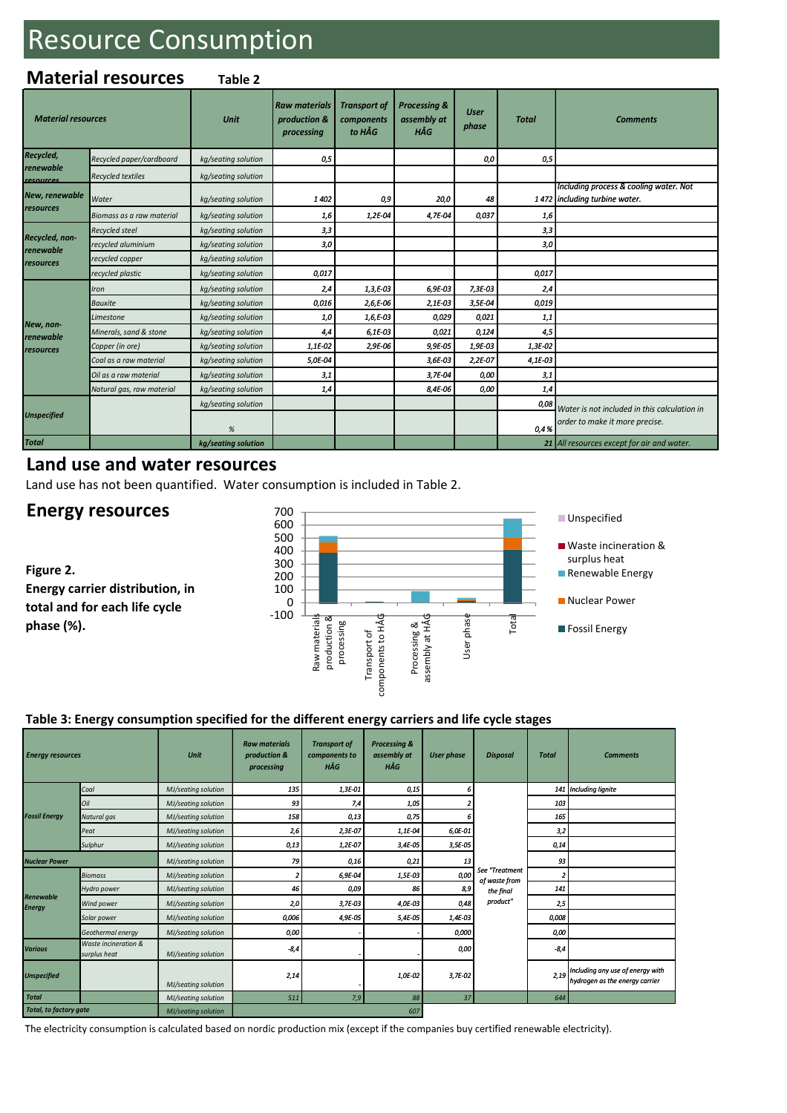# Resource Consumption

### **Material resources Table 2**

| <b>Material resources</b>   |                           | Unit                | <b>Raw materials</b><br>production &<br>processing | <b>Transport of</b><br>components<br>to HÅG | <b>Processing &amp;</b><br>assembly at<br>HÅG | <b>User</b><br>phase | <b>Total</b> | <b>Comments</b>                                                         |
|-----------------------------|---------------------------|---------------------|----------------------------------------------------|---------------------------------------------|-----------------------------------------------|----------------------|--------------|-------------------------------------------------------------------------|
| Recycled,                   | Recycled paper/cardboard  | kg/seating solution | 0,5                                                |                                             |                                               | 0,0                  | 0,5          |                                                                         |
| renewable<br>resources      | <b>Recycled textiles</b>  | kg/seating solution |                                                    |                                             |                                               |                      |              |                                                                         |
| New, renewable              | Water                     | kg/seating solution | 1402                                               | 0,9                                         | 20,0                                          | 48                   |              | Including process & cooling water. Not<br>1472 including turbine water. |
| resources                   | Biomass as a raw material | kg/seating solution | 1,6                                                | 1,2E-04                                     | 4,7E-04                                       | 0,037                | 1,6          |                                                                         |
|                             | <b>Recycled steel</b>     | kg/seating solution | 3,3                                                |                                             |                                               |                      | 3,3          |                                                                         |
| Recycled, non-<br>renewable | recycled aluminium        | kg/seating solution | 3,0                                                |                                             |                                               |                      | 3,0          |                                                                         |
| resources                   | recycled copper           | kg/seating solution |                                                    |                                             |                                               |                      |              |                                                                         |
|                             | recycled plastic          | kg/seating solution | 0,017                                              |                                             |                                               |                      | 0,017        |                                                                         |
|                             | Iron                      | kg/seating solution | 2,4                                                | $1,3, E-03$                                 | 6,9E-03                                       | 7,3E-03              | 2,4          |                                                                         |
|                             | <b>Bauxite</b>            | kg/seating solution | 0,016                                              | $2,6, E-06$                                 | 2,1E-03                                       | 3,5E-04              | 0,019        |                                                                         |
|                             | Limestone                 | kg/seating solution | 1,0                                                | 1,6,E-03                                    | 0,029                                         | 0,021                | 1,1          |                                                                         |
| New, non-<br>renewable      | Minerals, sand & stone    | kg/seating solution | 4,4                                                | $6,1E-03$                                   | 0,021                                         | 0,124                | 4,5          |                                                                         |
| resources                   | Copper (in ore)           | kg/seating solution | 1,1E-02                                            | 2,9E-06                                     | 9,9E-05                                       | 1,9E-03              | 1,3E-02      |                                                                         |
|                             | Coal as a raw material    | kg/seating solution | 5,0E-04                                            |                                             | 3,6E-03                                       | 2,2E-07              | 4,1E-03      |                                                                         |
|                             | Oil as a raw material     | kg/seating solution | 3,1                                                |                                             | 3,7E-04                                       | 0,00                 | 3,1          |                                                                         |
|                             | Natural gas, raw material | kg/seating solution | 1,4                                                |                                             | 8,4E-06                                       | 0,00                 | 1,4          |                                                                         |
| <b>Unspecified</b>          |                           | kg/seating solution |                                                    |                                             |                                               |                      | 0,08         | Water is not included in this calculation in                            |
|                             |                           | $\%$                |                                                    |                                             |                                               |                      | 0,4%         | order to make it more precise.                                          |
| <b>Total</b>                |                           | kg/seating solution |                                                    |                                             |                                               |                      |              | 21 All resources except for air and water.                              |

## **Land use and water resources**

Land use has not been quantified. Water consumption is included in Table 2.

## **Energy resources**

**Figure 2. Energy carrier distribution, in total and for each life cycle phase (%).**



### **Table 3: Energy consumption specified for the different energy carriers and life cycle stages**

| <b>Energy resources</b>    |                                      | Unit                | <b>Raw materials</b><br>production &<br>processing | <b>Transport of</b><br>components to<br>HÅG | Processing &<br>assembly at<br>HÅG | <b>User phase</b> | <b>Disposal</b>                              | <b>Total</b> | <b>Comments</b>                                                    |                       |
|----------------------------|--------------------------------------|---------------------|----------------------------------------------------|---------------------------------------------|------------------------------------|-------------------|----------------------------------------------|--------------|--------------------------------------------------------------------|-----------------------|
|                            | Coal                                 | MJ/seating solution | 135                                                | 1,3E-01                                     | 0,15                               | h                 |                                              |              |                                                                    | 141 Including lignite |
|                            | Oil                                  | MJ/seating solution | 93                                                 | 7,4                                         | 1,05                               |                   |                                              | 103          |                                                                    |                       |
| <b>Fossil Energy</b>       | Natural gas                          | MJ/seating solution | 158                                                | 0,13                                        | 0,75                               |                   |                                              | 165          |                                                                    |                       |
|                            | Peat                                 | MJ/seating solution | 2,6                                                | 2,3E-07                                     | 1,1E-04                            | 6,0E-01           |                                              | 3,2          |                                                                    |                       |
|                            | Sulphur                              | MJ/seating solution | 0,13                                               | 1,2E-07                                     | 3,4E-05                            | 3,5E-05           |                                              | 0,14         |                                                                    |                       |
| <b>Nuclear Power</b>       |                                      | MJ/seating solution | 79                                                 | 0,16                                        | 0,21                               | 13                |                                              | 93           |                                                                    |                       |
|                            | <b>Biomass</b>                       | MJ/seating solution |                                                    | 6,9E-04                                     | 1,5E-03                            | 0,00              | See "Treatment<br>of waste from<br>the final | 2            |                                                                    |                       |
|                            | Hydro power                          | MJ/seating solution | 46                                                 | 0,09                                        | 86                                 | 8,9               |                                              | 141          |                                                                    |                       |
| Renewable<br><b>Energy</b> | Wind power                           | MJ/seating solution | 2,0                                                | 3,7E-03                                     | 4,0E-03                            | 0,48              | product"                                     | 2,5          |                                                                    |                       |
|                            | Solar power                          | MJ/seating solution | 0,006                                              | 4,9E-05                                     | 5,4E-05                            | 1,4E-03           |                                              | 0,008        |                                                                    |                       |
|                            | Geothermal energy                    | MJ/seating solution | 0,00                                               |                                             |                                    | 0,000             |                                              | 0,00         |                                                                    |                       |
| <b>Various</b>             | Waste incineration &<br>surplus heat | MJ/seating solution | $-8,4$                                             |                                             |                                    | 0,00              |                                              | $-8,4$       |                                                                    |                       |
| <b>Unspecified</b>         |                                      | MJ/seating solution | 2,14                                               |                                             | 1,0E-02                            | 3,7E-02           |                                              | 2,19         | Including any use of energy with<br>hydrogen as the energy carrier |                       |
| <b>Total</b>               |                                      | MJ/seating solution | 511                                                | 7,9                                         | 88                                 | 37                |                                              | 644          |                                                                    |                       |
| Total, to factory gate     |                                      | MJ/seating solution |                                                    |                                             | 607                                |                   |                                              |              |                                                                    |                       |

The electricity consumption is calculated based on nordic production mix (except if the companies buy certified renewable electricity).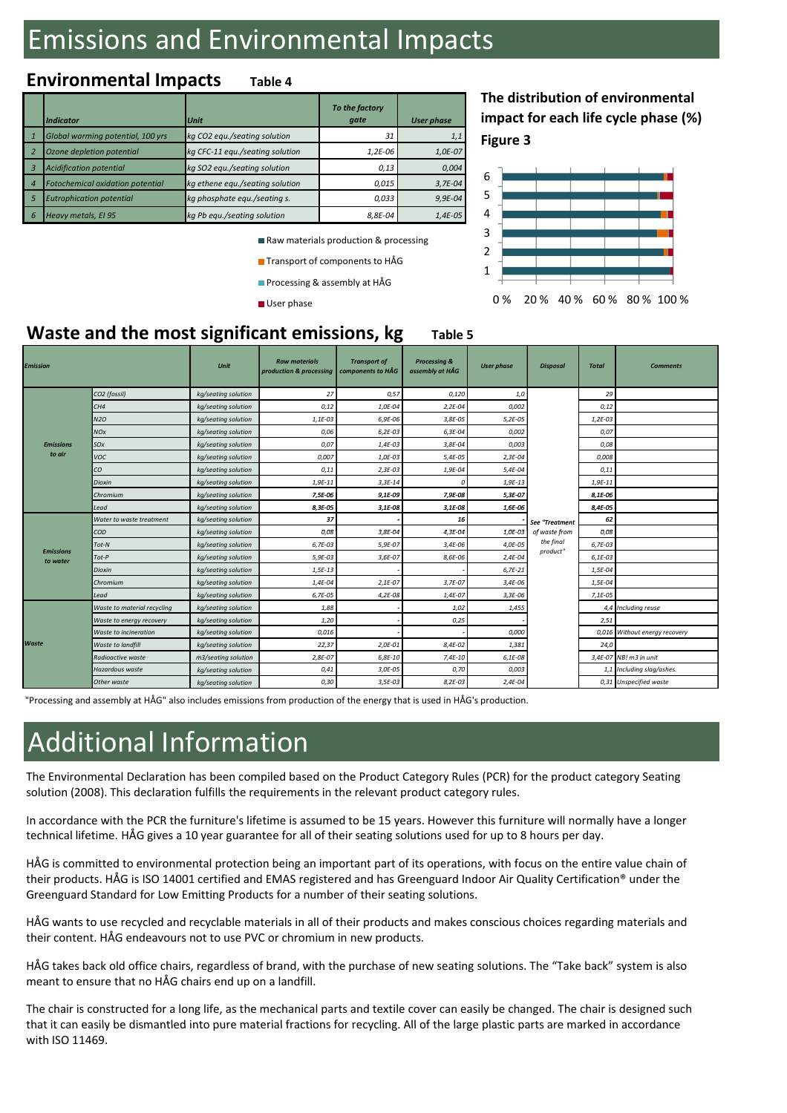# Emissions and Environmental Impacts

# **Environmental Impacts Table 4**

|   | <b>Indicator</b>                        | <b>Unit</b>                     | To the factory<br>gate | <b>User phase</b> |
|---|-----------------------------------------|---------------------------------|------------------------|-------------------|
|   | Global warming potential, 100 yrs       | kg CO2 equ./seating solution    | 31                     | 1,1               |
|   | Ozone depletion potential               | kg CFC-11 equ./seating solution | $1,2E-06$              | 1,0E-07           |
|   | <b>Acidification potential</b>          | kg SO2 egu./seating solution    | 0,13                   | 0,004             |
|   | <b>Fotochemical oxidation potential</b> | kg ethene equ./seating solution | 0,015                  | $3,7E-04$         |
|   | <b>Eutrophication potential</b>         | kg phosphate equ./seating s.    | 0.033                  | $9,9E-04$         |
| 6 | Heavy metals, El 95                     | kg Pb equ./seating solution     | 8,8E-04                | $1,4E-05$         |

Raw materials production & processing

**Transport of components to HÅG** 

**Processing & assembly at HÅG** 

User phase

**Figure 3 The distribution of environmental impact for each life cycle phase (%)**



## **Waste and the most significant emissions, kg** Table 5

| <b>Emission</b>              |                             | Unit                | <b>Raw materials</b><br>production & processing | <b>Transport of</b><br>components to HÅG | <b>Processing &amp;</b><br>assembly at HÅG | <b>User phase</b> | <b>Disposal</b>                 | <b>Total</b> | <b>Comments</b>               |
|------------------------------|-----------------------------|---------------------|-------------------------------------------------|------------------------------------------|--------------------------------------------|-------------------|---------------------------------|--------------|-------------------------------|
|                              | CO2 (fossil)                | kg/seating solution | 27                                              | 0,57                                     | 0,120                                      | 1,0               |                                 | 29           |                               |
|                              | CH4                         | kg/seating solution | 0,12                                            | 1,0E-04                                  | $2,2E-04$                                  | 0,002             |                                 | 0,12         |                               |
|                              | N2O                         | kg/seating solution | 1,1E-03                                         | 6,9E-06                                  | 3,8E-05                                    | $5,2E-05$         |                                 | $1,2E-03$    |                               |
|                              | NOx                         | kg/seating solution | 0,06                                            | $6,2E-03$                                | 6,3E-04                                    | 0,002             |                                 | 0,07         |                               |
| <b>Emissions</b>             | SOx                         | kg/seating solution | 0,07                                            | 1,4E-03                                  | 3,8E-04                                    | 0,003             |                                 | 0,08         |                               |
| to air                       | voc                         | kg/seating solution | 0,007                                           | 1,0E-03                                  | 5,4E-05                                    | $2,3E-04$         |                                 | 0,008        |                               |
|                              | CО                          | kg/seating solution | 0,11                                            | $2,3E-03$                                | 1,9E-04                                    | 5,4E-04           |                                 | 0,11         |                               |
|                              | Dioxin                      | kg/seating solution | 1,9E-11                                         | $3,3E-14$                                | 0                                          | $1,9E-13$         |                                 | $1,9E-11$    |                               |
|                              | Chromium                    | kg/seating solution | 7,5E-06                                         | 9,1E-09                                  | 7,9E-08                                    | 5,3E-07           | See "Treatment<br>of waste from | 8,1E-06      |                               |
|                              | Lead                        | kg/seating solution | 8,3E-05                                         | 3,1E-08                                  | 3,1E-08                                    | 1,6E-06           |                                 | 8,4E-05      |                               |
|                              | Water to waste treatment    | kg/seating solution | 37                                              |                                          | 16                                         |                   |                                 | 62           |                               |
|                              | COD                         | kg/seating solution | 0,08                                            | 3,8E-04                                  | 4,3E-04                                    | 1,0E-03           |                                 | 0,08         |                               |
|                              | Tot-N                       | kg/seating solution | 6,7E-03                                         | 5,9E-07                                  | 3,4E-06                                    | 4,0E-05           | the final                       | 6,7E-03      |                               |
| <b>Emissions</b><br>to water | $Tot-P$                     | kg/seating solution | 5,9E-03                                         | 3,6E-07                                  | 8,6E-06                                    | $2,4E-04$         | product"                        | $6,1E-03$    |                               |
|                              | Dioxin                      | kg/seating solution | $1,5E-13$                                       |                                          |                                            | $6,7E-21$         |                                 | 1,5E-04      |                               |
|                              | Chromium                    | kg/seating solution | 1,4E-04                                         | $2,1E-07$                                | 3,7E-07                                    | 3,4E-06           |                                 | 1,5E-04      |                               |
|                              | Lead                        | kg/seating solution | 6,7E-05                                         | $4,2E-08$                                | 1,4E-07                                    | $3,3E-06$         |                                 | $7,1E-05$    |                               |
|                              | Waste to material recycling | kg/seating solution | 1,88                                            |                                          | 1,02                                       | 1,455             |                                 |              | 4,4 Including reuse           |
| Waste                        | Waste to energy recovery    | kg/seating solution | 1,20                                            |                                          | 0,25                                       |                   |                                 | 2,51         |                               |
|                              | Waste to incineration       | kg/seating solution | 0,016                                           |                                          |                                            | 0,000             |                                 |              | 0,016 Without energy recovery |
|                              | Waste to landfill           | kg/seating solution | 22,37                                           | 2,0E-01                                  | 8,4E-02                                    | 1,381             |                                 | 24,0         |                               |
|                              | Radioactive waste           | m3/seating solution | $2,8E-07$                                       | $6,8E-10$                                | $7,4E-10$                                  | $6,1E-08$         |                                 |              | 3,4E-07 NB! m3 in unit        |
|                              | Hazardous waste             | kg/seating solution | 0,41                                            | 3,0E-05                                  | 0,70                                       | 0,003             |                                 |              | 1,1 Including slag/ashes.     |
|                              | Other waste                 | kg/seating solution | 0,30                                            | 3,5E-03                                  | $8,2E-03$                                  | $2,4E-04$         |                                 |              | 0,31 Unspecified waste        |

"Processing and assembly at HÅG" also includes emissions from production of the energy that is used in HÅG's production.

# Additional Information

The Environmental Declaration has been compiled based on the Product Category Rules (PCR) for the product category Seating solution (2008). This declaration fulfills the requirements in the relevant product category rules.

In accordance with the PCR the furniture's lifetime is assumed to be 15 years. However this furniture will normally have a longer technical lifetime. HÅG gives a 10 year guarantee for all of their seating solutions used for up to 8 hours per day.

 $H\AA G$  is committed to environmental protection being an important part of its operations, with focus on the entire value chain of their products. HÅG is ISO 14001 certified and EMAS registered and has Greenguard Indoor Air Quality Certification® under the Greenguard Standard for Low Emitting Products for a number of their seating solutions.

HÅG wants to use recycled and recyclable materials in all of their products and makes conscious choices regarding materials and the matter to use they side and they stake indecline in all of their products.<br>their content. HÅG endeavours not to use PVC or chromium in new products.

HÅG takes back old office chairs, regardless of brand, with the purchase of new seating solutions. The "Take back" system is also meant to ensure that no HÅG chairs end up on a landfill.

The chair is constructed for a long life, as the mechanical parts and textile cover can easily be changed. The chair is designed such that it can easily be dismantled into pure material fractions for recycling. All of the large plastic parts are marked in accordance<br>with ISO 11469. with ISO 11469.